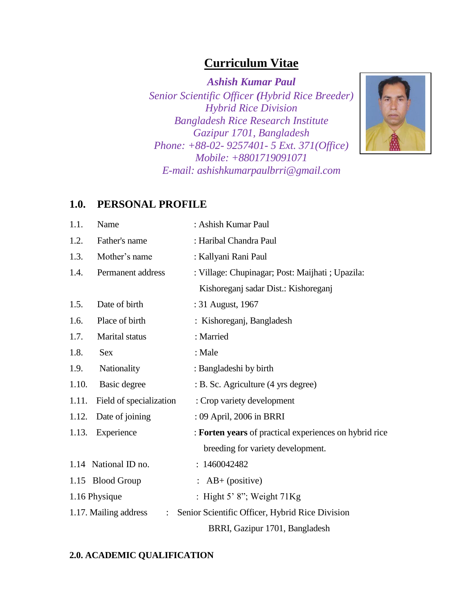# **Curriculum Vitae**

*Ashish Kumar Paul Senior Scientific Officer (Hybrid Rice Breeder) Hybrid Rice Division Bangladesh Rice Research Institute Gazipur 1701, Bangladesh Phone: +88-02- 9257401- 5 Ext. 371(Office) Mobile: +8801719091071 E-mail: ashishkumarpaulbrri@gmail.com*



## **1.0. PERSONAL PROFILE**

| 1.1.  | Name                                    | : Ashish Kumar Paul                                    |
|-------|-----------------------------------------|--------------------------------------------------------|
| 1.2.  | Father's name                           | : Haribal Chandra Paul                                 |
| 1.3.  | Mother's name                           | : Kallyani Rani Paul                                   |
| 1.4.  | Permanent address                       | : Village: Chupinagar; Post: Maijhati ; Upazila:       |
|       |                                         | Kishoreganj sadar Dist.: Kishoreganj                   |
| 1.5.  | Date of birth                           | : 31 August, 1967                                      |
| 1.6.  | Place of birth                          | : Kishoreganj, Bangladesh                              |
| 1.7.  | Marital status                          | : Married                                              |
| 1.8.  | <b>Sex</b>                              | : Male                                                 |
| 1.9.  | Nationality                             | : Bangladeshi by birth                                 |
| 1.10. | Basic degree                            | : B. Sc. Agriculture (4 yrs degree)                    |
| 1.11. | Field of specialization                 | : Crop variety development                             |
| 1.12. | Date of joining                         | : 09 April, 2006 in BRRI                               |
| 1.13. | Experience                              | : Forten years of practical experiences on hybrid rice |
|       |                                         | breeding for variety development.                      |
|       | 1.14 National ID no.                    | : 1460042482                                           |
|       | 1.15 Blood Group                        | : $AB+$ (positive)                                     |
|       | 1.16 Physique                           | : Hight 5' 8"; Weight $71Kg$                           |
|       | 1.17. Mailing address<br>$\ddot{\cdot}$ | Senior Scientific Officer, Hybrid Rice Division        |
|       |                                         | BRRI, Gazipur 1701, Bangladesh                         |

## **2.0. ACADEMIC QUALIFICATION**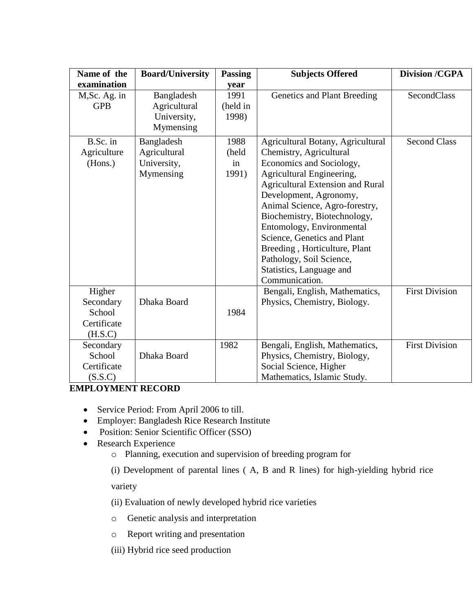| Name of the                                             | <b>Board/University</b>                                | <b>Passing</b>               | <b>Subjects Offered</b>                                                                                                                                                                                                                                                                                                                                                                                                             | <b>Division /CGPA</b> |
|---------------------------------------------------------|--------------------------------------------------------|------------------------------|-------------------------------------------------------------------------------------------------------------------------------------------------------------------------------------------------------------------------------------------------------------------------------------------------------------------------------------------------------------------------------------------------------------------------------------|-----------------------|
| examination                                             |                                                        | year                         |                                                                                                                                                                                                                                                                                                                                                                                                                                     |                       |
| M, Sc. Ag. in<br><b>GPB</b>                             | Bangladesh<br>Agricultural<br>University,<br>Mymensing | 1991<br>(held in<br>1998)    | Genetics and Plant Breeding                                                                                                                                                                                                                                                                                                                                                                                                         | SecondClass           |
| B.Sc. in<br>Agriculture<br>(Hons.)                      | Bangladesh<br>Agricultural<br>University,<br>Mymensing | 1988<br>(held<br>in<br>1991) | Agricultural Botany, Agricultural<br>Chemistry, Agricultural<br>Economics and Sociology,<br>Agricultural Engineering,<br><b>Agricultural Extension and Rural</b><br>Development, Agronomy,<br>Animal Science, Agro-forestry,<br>Biochemistry, Biotechnology,<br>Entomology, Environmental<br>Science, Genetics and Plant<br>Breeding, Horticulture, Plant<br>Pathology, Soil Science,<br>Statistics, Language and<br>Communication. | <b>Second Class</b>   |
| Higher<br>Secondary<br>School<br>Certificate<br>(H.S.C) | Dhaka Board                                            | 1984                         | Bengali, English, Mathematics,<br>Physics, Chemistry, Biology.                                                                                                                                                                                                                                                                                                                                                                      | <b>First Division</b> |
| Secondary<br>School<br>Certificate<br>(S.S.C)           | Dhaka Board                                            | 1982                         | Bengali, English, Mathematics,<br>Physics, Chemistry, Biology,<br>Social Science, Higher<br>Mathematics, Islamic Study.                                                                                                                                                                                                                                                                                                             | <b>First Division</b> |

## **EMPLOYMENT RECORD**

- Service Period: From April 2006 to till.
- Employer: Bangladesh Rice Research Institute
- Position: Senior Scientific Officer (SSO)
- Research Experience
	- o Planning, execution and supervision of breeding program for

(i) Development of parental lines ( A, B and R lines) for high-yielding hybrid rice variety

(ii) Evaluation of newly developed hybrid rice varieties

- o Genetic analysis and interpretation
- o Report writing and presentation

(iii) Hybrid rice seed production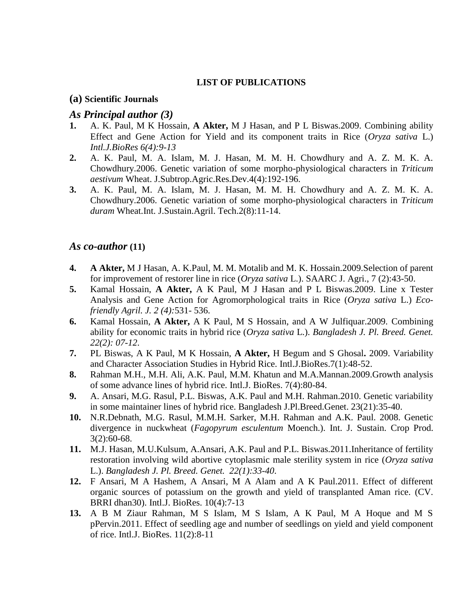### **LIST OF PUBLICATIONS**

#### **(a) Scientific Journals**

### *As Principal author (3)*

- **1.** A. K. Paul, M K Hossain, **A Akter,** M J Hasan, and P L Biswas.2009. Combining ability Effect and Gene Action for Yield and its component traits in Rice (*Oryza sativa* L.) *Intl.J.BioRes 6(4):9-13*
- **2.** A. K. Paul, M. A. Islam, M. J. Hasan, M. M. H. Chowdhury and A. Z. M. K. A. Chowdhury.2006. Genetic variation of some morpho-physiological characters in *Triticum aestivum* Wheat. J.Subtrop.Agric.Res.Dev.4(4):192-196.
- **3.** A. K. Paul, M. A. Islam, M. J. Hasan, M. M. H. Chowdhury and A. Z. M. K. A. Chowdhury.2006. Genetic variation of some morpho-physiological characters in *Triticum duram* Wheat.Int. J.Sustain.Agril. Tech.2(8):11-14.

## *As co-author* **(11)**

- **4. A Akter,** M J Hasan, A. K.Paul, M. M. Motalib and M. K. Hossain.2009.Selection of parent for improvement of restorer line in rice (*Oryza sativa* L.). SAARC J. Agri., 7 (2):43-50.
- **5.** Kamal Hossain, **A Akter,** A K Paul, M J Hasan and P L Biswas.2009. Line x Tester Analysis and Gene Action for Agromorphological traits in Rice (*Oryza sativa* L.) *Ecofriendly Agril. J. 2 (4):*531- 536.
- **6.** Kamal Hossain, **A Akter,** A K Paul, M S Hossain, and A W Julfiquar.2009. Combining ability for economic traits in hybrid rice (*Oryza sativa* L.). *Bangladesh J. Pl. Breed. Genet. 22(2): 07-12*.
- **7.** PL Biswas, A K Paul, M K Hossain, **A Akter,** H Begum and S Ghosal**.** 2009. Variability and Character Association Studies in Hybrid Rice. Intl.J.BioRes.7(1):48-52.
- **8.** Rahman M.H., M.H. Ali, A.K. Paul, M.M. Khatun and M.A.Mannan.2009.Growth analysis of some advance lines of hybrid rice. Intl.J. BioRes. 7(4):80-84.
- **9.** A. Ansari, M.G. Rasul, P.L. Biswas, A.K. Paul and M.H. Rahman.2010. Genetic variability in some maintainer lines of hybrid rice. Bangladesh J.Pl.Breed.Genet. 23(21):35-40.
- **10.** N.R.Debnath, M.G. Rasul, M.M.H. Sarker, M.H. Rahman and A.K. Paul. 2008. Genetic divergence in nuckwheat (*Fagopyrum esculentum* Moench.). Int. J. Sustain. Crop Prod. 3(2):60-68.
- **11.** M.J. Hasan, M.U.Kulsum, A.Ansari, A.K. Paul and P.L. Biswas.2011.Inheritance of fertility restoration involving wild abortive cytoplasmic male sterility system in rice (*Oryza sativa* L.). *Bangladesh J. Pl. Breed. Genet. 22(1):33-40*.
- **12.** F Ansari, M A Hashem, A Ansari, M A Alam and A K Paul.2011. Effect of different organic sources of potassium on the growth and yield of transplanted Aman rice. (CV. BRRI dhan30). Intl.J. BioRes. 10(4):7-13
- **13.** A B M Ziaur Rahman, M S Islam, M S Islam, A K Paul, M A Hoque and M S pPervin.2011. Effect of seedling age and number of seedlings on yield and yield component of rice. Intl.J. BioRes. 11(2):8-11